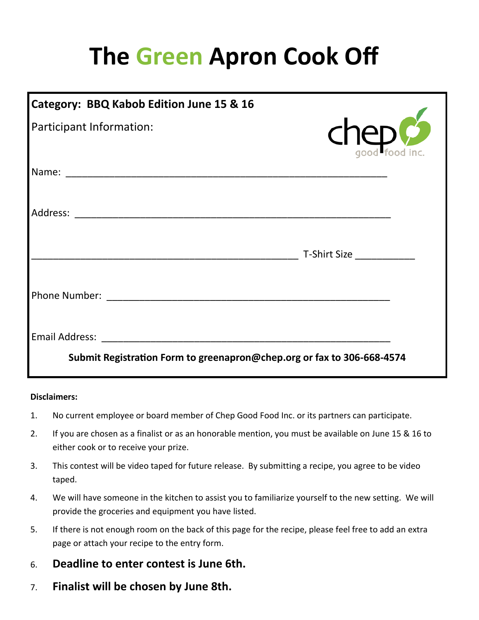## **The Green Apron Cook Off**

| Category: BBQ Kabob Edition June 15 & 16                               |                               |
|------------------------------------------------------------------------|-------------------------------|
| Participant Information:                                               | $\mathsf{chep}_\mathsf{food}$ |
|                                                                        |                               |
|                                                                        |                               |
|                                                                        | T-Shirt Size                  |
|                                                                        |                               |
|                                                                        |                               |
| Submit Registration Form to greenapron@chep.org or fax to 306-668-4574 |                               |

## **Disclaimers:**

- 1. No current employee or board member of Chep Good Food Inc. or its partners can participate.
- 2. If you are chosen as a finalist or as an honorable mention, you must be available on June 15 & 16 to either cook or to receive your prize.
- 3. This contest will be video taped for future release. By submitting a recipe, you agree to be video taped.
- 4. We will have someone in the kitchen to assist you to familiarize yourself to the new setting. We will provide the groceries and equipment you have listed.
- 5. If there is not enough room on the back of this page for the recipe, please feel free to add an extra page or attach your recipe to the entry form.
- 6. **Deadline to enter contest is June 6th.**
- 7. **Finalist will be chosen by June 8th.**